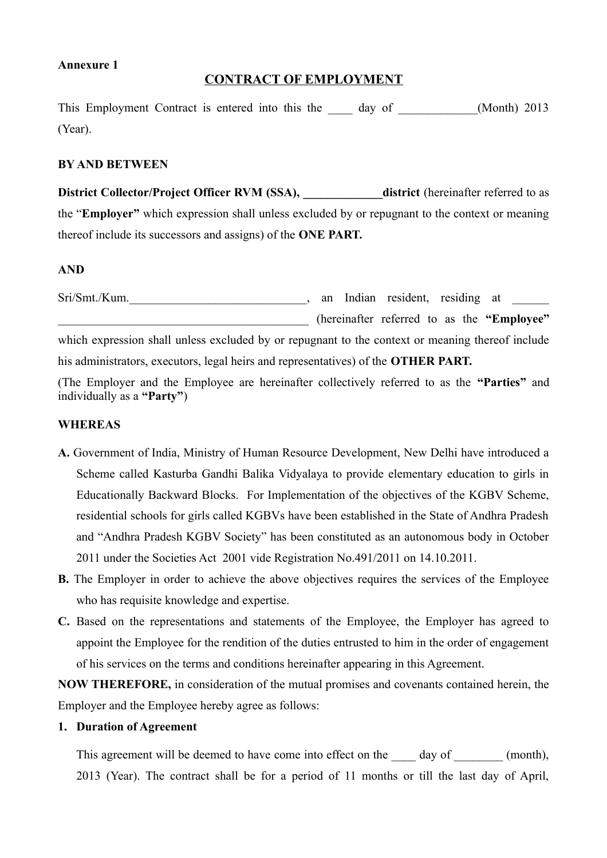#### **Annexure 1**

### **CONTRACT OF EMPLOYMENT**

This Employment Contract is entered into this the day of (Month) 2013 (Year).

#### **BY AND BETWEEN**

**District Collector/Project Officer RVM (SSA), district (hereinafter referred to as** the "**Employer"** which expression shall unless excluded by or repugnant to the context or meaning thereof include its successors and assigns) of the **ONE PART.**

#### **AND**

Sri/Smt./Kum.\_\_\_\_\_\_\_\_\_\_\_\_\_\_\_\_\_\_\_\_\_\_\_\_\_\_\_\_\_, an Indian resident, residing at \_\_\_\_\_\_ \_\_\_\_\_\_\_\_\_\_\_\_\_\_\_\_\_\_\_\_\_\_\_\_\_\_\_\_\_\_\_\_\_\_\_\_\_\_\_\_\_ (hereinafter referred to as the **"Employee"** which expression shall unless excluded by or repugnant to the context or meaning thereof include his administrators, executors, legal heirs and representatives) of the **OTHER PART.**

(The Employer and the Employee are hereinafter collectively referred to as the **"Parties"** and individually as a **"Party"**)

#### **WHEREAS**

- **A.** Government of India, Ministry of Human Resource Development, New Delhi have introduced a Scheme called Kasturba Gandhi Balika Vidyalaya to provide elementary education to girls in Educationally Backward Blocks. For Implementation of the objectives of the KGBV Scheme, residential schools for girls called KGBVs have been established in the State of Andhra Pradesh and "Andhra Pradesh KGBV Society" has been constituted as an autonomous body in October 2011 under the Societies Act 2001 vide Registration No.491/2011 on 14.10.2011.
- **B.** The Employer in order to achieve the above objectives requires the services of the Employee who has requisite knowledge and expertise.
- **C.** Based on the representations and statements of the Employee, the Employer has agreed to appoint the Employee for the rendition of the duties entrusted to him in the order of engagement of his services on the terms and conditions hereinafter appearing in this Agreement.

**NOW THEREFORE,** in consideration of the mutual promises and covenants contained herein, the Employer and the Employee hereby agree as follows:

#### **1. Duration of Agreement**

This agreement will be deemed to have come into effect on the day of  $(month)$ , 2013 (Year). The contract shall be for a period of 11 months or till the last day of April,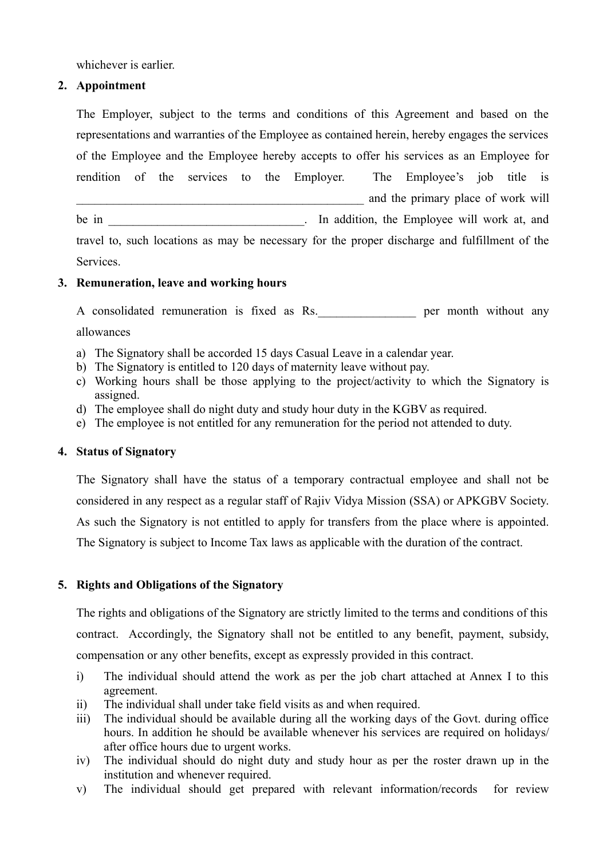whichever is earlier.

### **2. Appointment**

The Employer, subject to the terms and conditions of this Agreement and based on the representations and warranties of the Employee as contained herein, hereby engages the services of the Employee and the Employee hereby accepts to offer his services as an Employee for rendition of the services to the Employer. The Employee's job title is and the primary place of work will be in the in the state of the state of the Employee will work at, and the Employee will work at and travel to, such locations as may be necessary for the proper discharge and fulfillment of the

Services.

### **3. Remuneration, leave and working hours**

A consolidated remuneration is fixed as Rs. per month without any allowances

- a) The Signatory shall be accorded 15 days Casual Leave in a calendar year.
- b) The Signatory is entitled to 120 days of maternity leave without pay.
- c) Working hours shall be those applying to the project/activity to which the Signatory is assigned.
- d) The employee shall do night duty and study hour duty in the KGBV as required.
- e) The employee is not entitled for any remuneration for the period not attended to duty.

### **4. Status of Signatory**

The Signatory shall have the status of a temporary contractual employee and shall not be considered in any respect as a regular staff of Rajiv Vidya Mission (SSA) or APKGBV Society. As such the Signatory is not entitled to apply for transfers from the place where is appointed. The Signatory is subject to Income Tax laws as applicable with the duration of the contract.

### **5. Rights and Obligations of the Signatory**

The rights and obligations of the Signatory are strictly limited to the terms and conditions of this contract. Accordingly, the Signatory shall not be entitled to any benefit, payment, subsidy, compensation or any other benefits, except as expressly provided in this contract.

- i) The individual should attend the work as per the job chart attached at Annex I to this agreement.
- ii) The individual shall under take field visits as and when required.
- iii) The individual should be available during all the working days of the Govt. during office hours. In addition he should be available whenever his services are required on holidays/ after office hours due to urgent works.
- iv) The individual should do night duty and study hour as per the roster drawn up in the institution and whenever required.
- v) The individual should get prepared with relevant information/records for review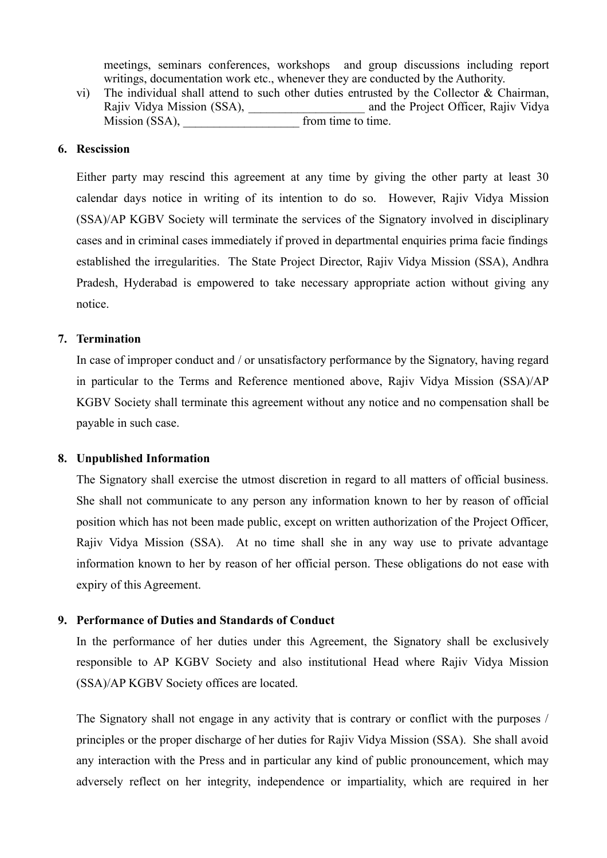meetings, seminars conferences, workshops and group discussions including report writings, documentation work etc., whenever they are conducted by the Authority.

vi) The individual shall attend to such other duties entrusted by the Collector  $\&$  Chairman, Rajiv Vidya Mission (SSA), and the Project Officer, Rajiv Vidya Mission (SSA), from time to time.

#### **6. Rescission**

Either party may rescind this agreement at any time by giving the other party at least 30 calendar days notice in writing of its intention to do so. However, Rajiv Vidya Mission (SSA)/AP KGBV Society will terminate the services of the Signatory involved in disciplinary cases and in criminal cases immediately if proved in departmental enquiries prima facie findings established the irregularities. The State Project Director, Rajiv Vidya Mission (SSA), Andhra Pradesh, Hyderabad is empowered to take necessary appropriate action without giving any notice.

#### **7. Termination**

In case of improper conduct and / or unsatisfactory performance by the Signatory, having regard in particular to the Terms and Reference mentioned above, Rajiv Vidya Mission (SSA)/AP KGBV Society shall terminate this agreement without any notice and no compensation shall be payable in such case.

#### **8. Unpublished Information**

The Signatory shall exercise the utmost discretion in regard to all matters of official business. She shall not communicate to any person any information known to her by reason of official position which has not been made public, except on written authorization of the Project Officer, Rajiv Vidya Mission (SSA). At no time shall she in any way use to private advantage information known to her by reason of her official person. These obligations do not ease with expiry of this Agreement.

#### **9. Performance of Duties and Standards of Conduct**

In the performance of her duties under this Agreement, the Signatory shall be exclusively responsible to AP KGBV Society and also institutional Head where Rajiv Vidya Mission (SSA)/AP KGBV Society offices are located.

The Signatory shall not engage in any activity that is contrary or conflict with the purposes / principles or the proper discharge of her duties for Rajiv Vidya Mission (SSA). She shall avoid any interaction with the Press and in particular any kind of public pronouncement, which may adversely reflect on her integrity, independence or impartiality, which are required in her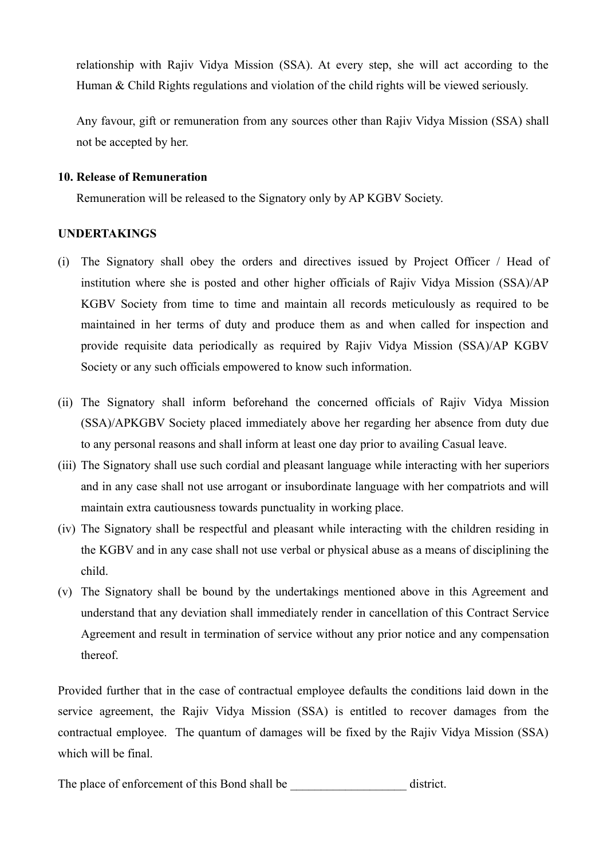relationship with Rajiv Vidya Mission (SSA). At every step, she will act according to the Human & Child Rights regulations and violation of the child rights will be viewed seriously.

Any favour, gift or remuneration from any sources other than Rajiv Vidya Mission (SSA) shall not be accepted by her.

#### **10. Release of Remuneration**

Remuneration will be released to the Signatory only by AP KGBV Society.

#### **UNDERTAKINGS**

- (i) The Signatory shall obey the orders and directives issued by Project Officer / Head of institution where she is posted and other higher officials of Rajiv Vidya Mission (SSA)/AP KGBV Society from time to time and maintain all records meticulously as required to be maintained in her terms of duty and produce them as and when called for inspection and provide requisite data periodically as required by Rajiv Vidya Mission (SSA)/AP KGBV Society or any such officials empowered to know such information.
- (ii) The Signatory shall inform beforehand the concerned officials of Rajiv Vidya Mission (SSA)/APKGBV Society placed immediately above her regarding her absence from duty due to any personal reasons and shall inform at least one day prior to availing Casual leave.
- (iii) The Signatory shall use such cordial and pleasant language while interacting with her superiors and in any case shall not use arrogant or insubordinate language with her compatriots and will maintain extra cautiousness towards punctuality in working place.
- (iv) The Signatory shall be respectful and pleasant while interacting with the children residing in the KGBV and in any case shall not use verbal or physical abuse as a means of disciplining the child.
- (v) The Signatory shall be bound by the undertakings mentioned above in this Agreement and understand that any deviation shall immediately render in cancellation of this Contract Service Agreement and result in termination of service without any prior notice and any compensation thereof.

Provided further that in the case of contractual employee defaults the conditions laid down in the service agreement, the Rajiv Vidya Mission (SSA) is entitled to recover damages from the contractual employee. The quantum of damages will be fixed by the Rajiv Vidya Mission (SSA) which will be final.

The place of enforcement of this Bond shall be \_\_\_\_\_\_\_\_\_\_\_\_\_\_\_\_\_\_\_\_\_\_\_ district.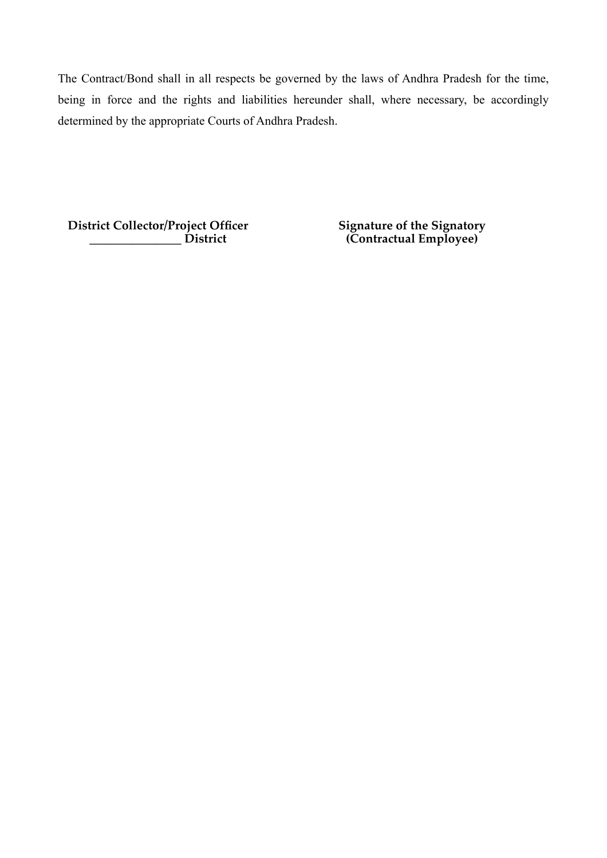The Contract/Bond shall in all respects be governed by the laws of Andhra Pradesh for the time, being in force and the rights and liabilities hereunder shall, where necessary, be accordingly determined by the appropriate Courts of Andhra Pradesh.

**District Collector/Project Officer \_\_\_\_\_\_\_\_\_\_\_\_\_\_\_ District**

**Signature of the Signatory (Contractual Employee)**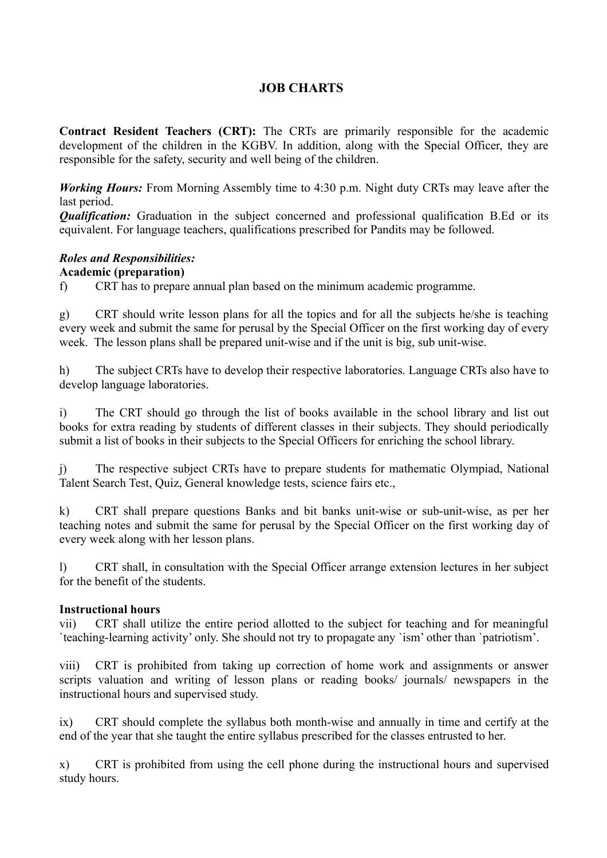## **JOB CHARTS**

**Contract Resident Teachers (CRT):** The CRTs are primarily responsible for the academic development of the children in the KGBV. In addition, along with the Special Officer, they are responsible for the safety, security and well being of the children.

*Working Hours:* From Morning Assembly time to 4:30 p.m. Night duty CRTs may leave after the last period.

**Qualification:** Graduation in the subject concerned and professional qualification B.Ed or its equivalent. For language teachers, qualifications prescribed for Pandits may be followed.

# *Roles and Responsibilities:*

### **Academic (preparation)**

f) CRT has to prepare annual plan based on the minimum academic programme.

g) CRT should write lesson plans for all the topics and for all the subjects he/she is teaching every week and submit the same for perusal by the Special Officer on the first working day of every week. The lesson plans shall be prepared unit-wise and if the unit is big, sub unit-wise.

h) The subject CRTs have to develop their respective laboratories. Language CRTs also have to develop language laboratories.

i) The CRT should go through the list of books available in the school library and list out books for extra reading by students of different classes in their subjects. They should periodically submit a list of books in their subjects to the Special Officers for enriching the school library.

j) The respective subject CRTs have to prepare students for mathematic Olympiad, National Talent Search Test, Quiz, General knowledge tests, science fairs etc.,

k) CRT shall prepare questions Banks and bit banks unit-wise or sub-unit-wise, as per her teaching notes and submit the same for perusal by the Special Officer on the first working day of every week along with her lesson plans.

l) CRT shall, in consultation with the Special Officer arrange extension lectures in her subject for the benefit of the students.

### **Instructional hours**

vii) CRT shall utilize the entire period allotted to the subject for teaching and for meaningful `teaching-learning activity' only. She should not try to propagate any `ism' other than `patriotism'.

viii) CRT is prohibited from taking up correction of home work and assignments or answer scripts valuation and writing of lesson plans or reading books/ journals/ newspapers in the instructional hours and supervised study.

ix) CRT should complete the syllabus both month-wise and annually in time and certify at the end of the year that she taught the entire syllabus prescribed for the classes entrusted to her.

x) CRT is prohibited from using the cell phone during the instructional hours and supervised study hours.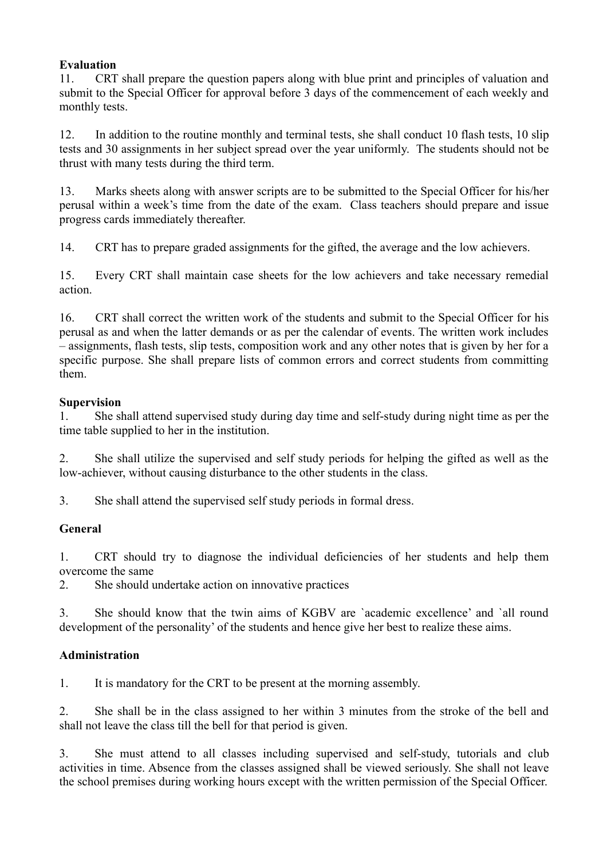### **Evaluation**

11. CRT shall prepare the question papers along with blue print and principles of valuation and submit to the Special Officer for approval before 3 days of the commencement of each weekly and monthly tests.

12. In addition to the routine monthly and terminal tests, she shall conduct 10 flash tests, 10 slip tests and 30 assignments in her subject spread over the year uniformly. The students should not be thrust with many tests during the third term.

13. Marks sheets along with answer scripts are to be submitted to the Special Officer for his/her perusal within a week's time from the date of the exam. Class teachers should prepare and issue progress cards immediately thereafter.

14. CRT has to prepare graded assignments for the gifted, the average and the low achievers.

15. Every CRT shall maintain case sheets for the low achievers and take necessary remedial action.

16. CRT shall correct the written work of the students and submit to the Special Officer for his perusal as and when the latter demands or as per the calendar of events. The written work includes – assignments, flash tests, slip tests, composition work and any other notes that is given by her for a specific purpose. She shall prepare lists of common errors and correct students from committing them.

### **Supervision**

1. She shall attend supervised study during day time and self-study during night time as per the time table supplied to her in the institution.

2. She shall utilize the supervised and self study periods for helping the gifted as well as the low-achiever, without causing disturbance to the other students in the class.

3. She shall attend the supervised self study periods in formal dress.

### **General**

1. CRT should try to diagnose the individual deficiencies of her students and help them overcome the same

2. She should undertake action on innovative practices

3. She should know that the twin aims of KGBV are `academic excellence' and `all round development of the personality' of the students and hence give her best to realize these aims.

### **Administration**

1. It is mandatory for the CRT to be present at the morning assembly.

2. She shall be in the class assigned to her within 3 minutes from the stroke of the bell and shall not leave the class till the bell for that period is given.

3. She must attend to all classes including supervised and self-study, tutorials and club activities in time. Absence from the classes assigned shall be viewed seriously. She shall not leave the school premises during working hours except with the written permission of the Special Officer.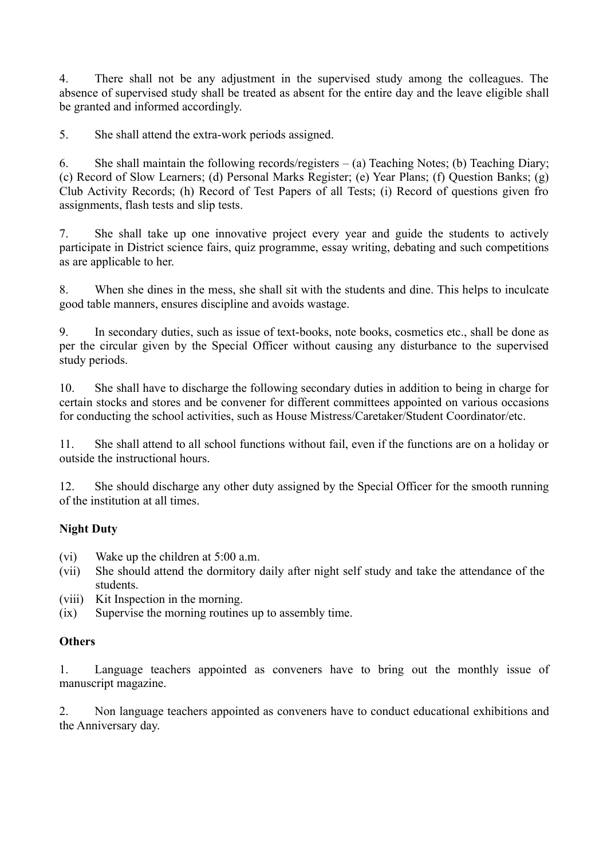4. There shall not be any adjustment in the supervised study among the colleagues. The absence of supervised study shall be treated as absent for the entire day and the leave eligible shall be granted and informed accordingly.

5. She shall attend the extra-work periods assigned.

6. She shall maintain the following records/registers – (a) Teaching Notes; (b) Teaching Diary; (c) Record of Slow Learners; (d) Personal Marks Register; (e) Year Plans; (f) Question Banks; (g) Club Activity Records; (h) Record of Test Papers of all Tests; (i) Record of questions given fro assignments, flash tests and slip tests.

7. She shall take up one innovative project every year and guide the students to actively participate in District science fairs, quiz programme, essay writing, debating and such competitions as are applicable to her.

8. When she dines in the mess, she shall sit with the students and dine. This helps to inculcate good table manners, ensures discipline and avoids wastage.

9. In secondary duties, such as issue of text-books, note books, cosmetics etc., shall be done as per the circular given by the Special Officer without causing any disturbance to the supervised study periods.

10. She shall have to discharge the following secondary duties in addition to being in charge for certain stocks and stores and be convener for different committees appointed on various occasions for conducting the school activities, such as House Mistress/Caretaker/Student Coordinator/etc.

11. She shall attend to all school functions without fail, even if the functions are on a holiday or outside the instructional hours.

12. She should discharge any other duty assigned by the Special Officer for the smooth running of the institution at all times.

### **Night Duty**

(vi) Wake up the children at 5:00 a.m.

- (vii) She should attend the dormitory daily after night self study and take the attendance of the students.
- (viii) Kit Inspection in the morning.
- (ix) Supervise the morning routines up to assembly time.

### **Others**

1. Language teachers appointed as conveners have to bring out the monthly issue of manuscript magazine.

2. Non language teachers appointed as conveners have to conduct educational exhibitions and the Anniversary day.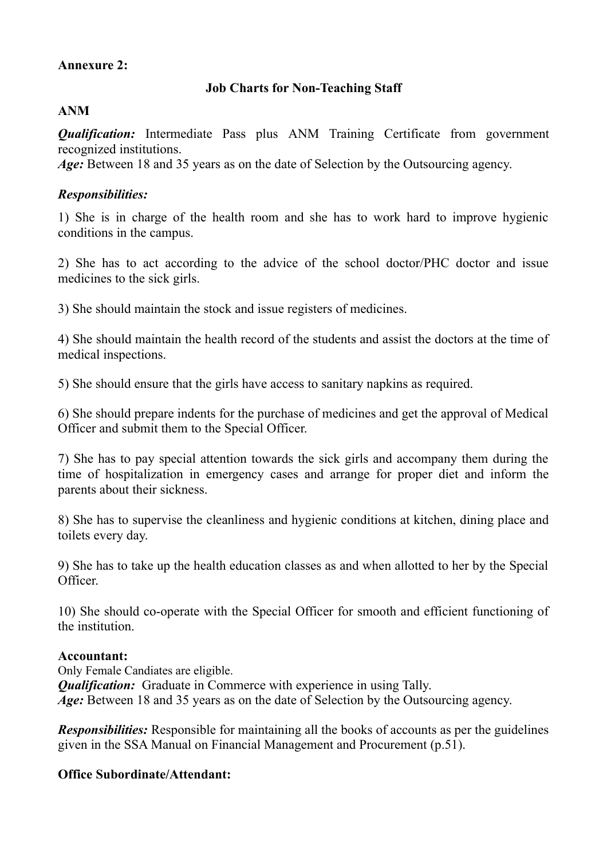## **Annexure 2:**

# **Job Charts for Non-Teaching Staff**

### **ANM**

*Qualification:* Intermediate Pass plus ANM Training Certificate from government recognized institutions.

Age: Between 18 and 35 years as on the date of Selection by the Outsourcing agency.

## *Responsibilities:*

1) She is in charge of the health room and she has to work hard to improve hygienic conditions in the campus.

2) She has to act according to the advice of the school doctor/PHC doctor and issue medicines to the sick girls.

3) She should maintain the stock and issue registers of medicines.

4) She should maintain the health record of the students and assist the doctors at the time of medical inspections.

5) She should ensure that the girls have access to sanitary napkins as required.

6) She should prepare indents for the purchase of medicines and get the approval of Medical Officer and submit them to the Special Officer.

7) She has to pay special attention towards the sick girls and accompany them during the time of hospitalization in emergency cases and arrange for proper diet and inform the parents about their sickness.

8) She has to supervise the cleanliness and hygienic conditions at kitchen, dining place and toilets every day.

9) She has to take up the health education classes as and when allotted to her by the Special Officer.

10) She should co-operate with the Special Officer for smooth and efficient functioning of the institution.

### **Accountant:**

Only Female Candiates are eligible. *Qualification:* Graduate in Commerce with experience in using Tally. *Age:* Between 18 and 35 years as on the date of Selection by the Outsourcing agency.

*Responsibilities:* Responsible for maintaining all the books of accounts as per the guidelines given in the SSA Manual on Financial Management and Procurement (p.51).

# **Office Subordinate/Attendant:**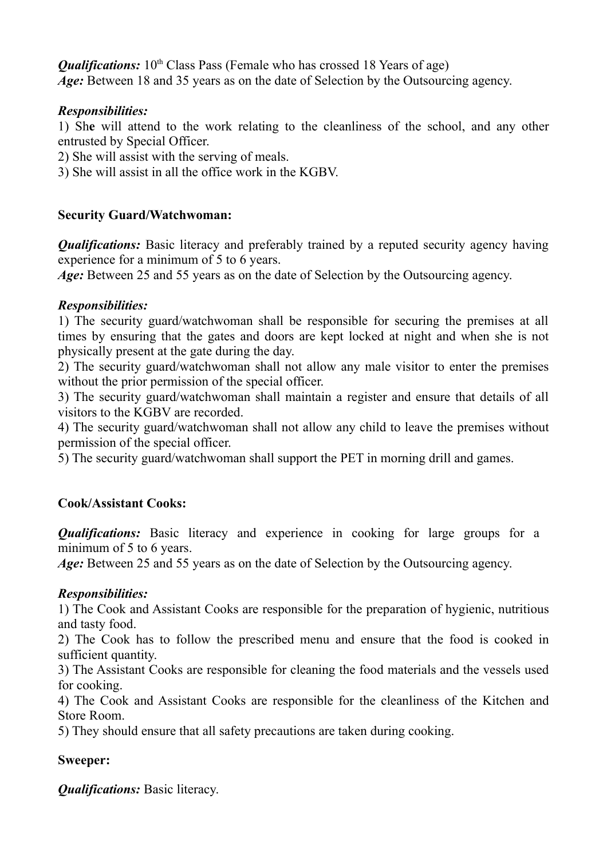*Qualifications:* 10<sup>th</sup> Class Pass (Female who has crossed 18 Years of age) Age: Between 18 and 35 years as on the date of Selection by the Outsourcing agency.

### *Responsibilities:*

1) Sh**e** will attend to the work relating to the cleanliness of the school, and any other entrusted by Special Officer.

- 2) She will assist with the serving of meals.
- 3) She will assist in all the office work in the KGBV.

# **Security Guard/Watchwoman:**

*Qualifications:* Basic literacy and preferably trained by a reputed security agency having experience for a minimum of 5 to 6 years.

Age: Between 25 and 55 years as on the date of Selection by the Outsourcing agency.

# *Responsibilities:*

1) The security guard/watchwoman shall be responsible for securing the premises at all times by ensuring that the gates and doors are kept locked at night and when she is not physically present at the gate during the day.

2) The security guard/watchwoman shall not allow any male visitor to enter the premises without the prior permission of the special officer.

3) The security guard/watchwoman shall maintain a register and ensure that details of all visitors to the KGBV are recorded.

4) The security guard/watchwoman shall not allow any child to leave the premises without permission of the special officer.

5) The security guard/watchwoman shall support the PET in morning drill and games.

# **Cook/Assistant Cooks:**

*Qualifications:* Basic literacy and experience in cooking for large groups for a minimum of 5 to 6 years.

*Age:* Between 25 and 55 years as on the date of Selection by the Outsourcing agency.

# *Responsibilities:*

1) The Cook and Assistant Cooks are responsible for the preparation of hygienic, nutritious and tasty food.

2) The Cook has to follow the prescribed menu and ensure that the food is cooked in sufficient quantity.

3) The Assistant Cooks are responsible for cleaning the food materials and the vessels used for cooking.

4) The Cook and Assistant Cooks are responsible for the cleanliness of the Kitchen and Store Room.

5) They should ensure that all safety precautions are taken during cooking.

# **Sweeper:**

*Qualifications:* Basic literacy.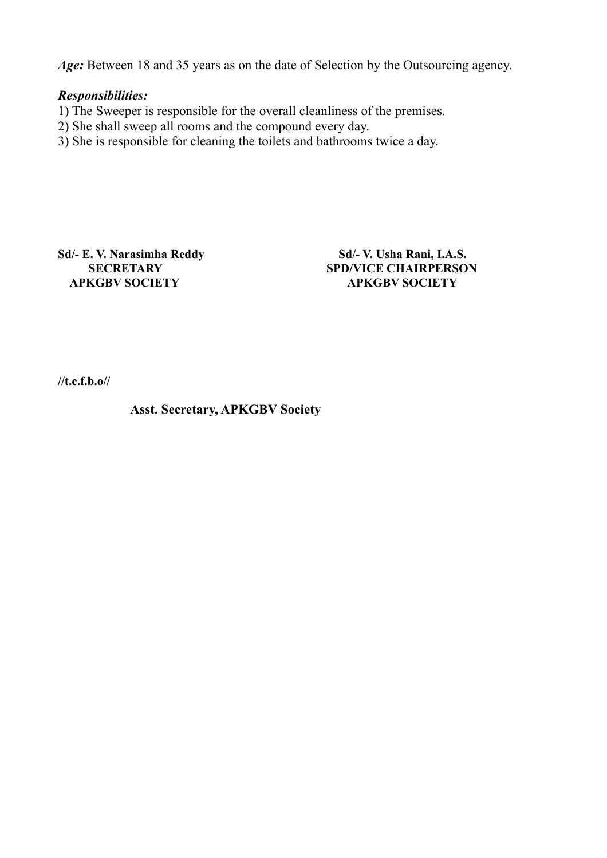Age: Between 18 and 35 years as on the date of Selection by the Outsourcing agency.

### *Responsibilities:*

- 1) The Sweeper is responsible for the overall cleanliness of the premises.
- 2) She shall sweep all rooms and the compound every day.
- 3) She is responsible for cleaning the toilets and bathrooms twice a day.

Sd/- E. V. Narasimha Reddy Sd/- V. Usha Rani, I.A.S.  **APKGBV SOCIETY APKGBV SOCIETY**

**SECRETARY SPD/VICE CHAIRPERSON** 

**//t.c.f.b.o//**

**Asst. Secretary, APKGBV Society**